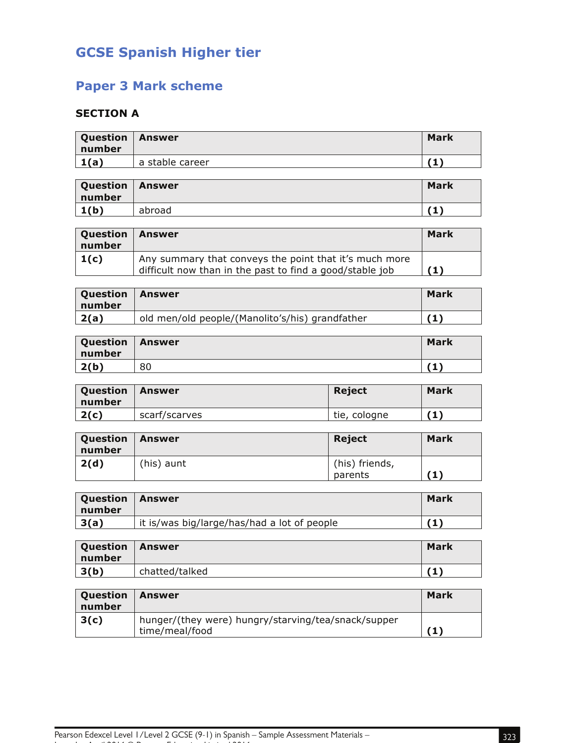# **GCSE Spanish Higher tier**

## **Paper 3 Mark scheme**

### **SECTION A**

| Question   Answer<br>number |                 | <b>Mark</b> |
|-----------------------------|-----------------|-------------|
| 1(a)                        | a stable career |             |

| Question<br>number | Answer | <b>Mark</b> |
|--------------------|--------|-------------|
| 1(b)               | abroad |             |

| Question<br>number | Answer                                                                                                             | Mark |
|--------------------|--------------------------------------------------------------------------------------------------------------------|------|
| 1(c)               | Any summary that conveys the point that it's much more<br>difficult now than in the past to find a good/stable job |      |

| Question<br>  number | ∣ Answer                                        | Mark |
|----------------------|-------------------------------------------------|------|
| 2(a)                 | old men/old people/(Manolito's/his) grandfather | n    |

| Question<br>number | <b>Answer</b> | <b>Mark</b> |
|--------------------|---------------|-------------|
| 2(b)               | 80            | 7 O N       |

| <b>Question</b><br>number | <b>Answer</b> | <b>Reject</b> | <b>Mark</b> |
|---------------------------|---------------|---------------|-------------|
| 2(c)                      | scarf/scarves | tie, cologne  | '1)         |

| Question   Answer<br>number |            | <b>Reject</b>             | <b>Mark</b> |
|-----------------------------|------------|---------------------------|-------------|
| 2(d)                        | (his) aunt | (his) friends,<br>parents | (1)         |

| Question<br>  number | Answer                                      | Mark |
|----------------------|---------------------------------------------|------|
| 3(a)                 | it is/was big/large/has/had a lot of people | 41   |

| Question<br>l number | Answer         | Mark |
|----------------------|----------------|------|
| 3(b)                 | chatted/talked |      |

| <b>Question</b><br>number | Answer                                                                | Mark |
|---------------------------|-----------------------------------------------------------------------|------|
| 3(c)                      | hunger/(they were) hungry/starving/tea/snack/supper<br>time/meal/food |      |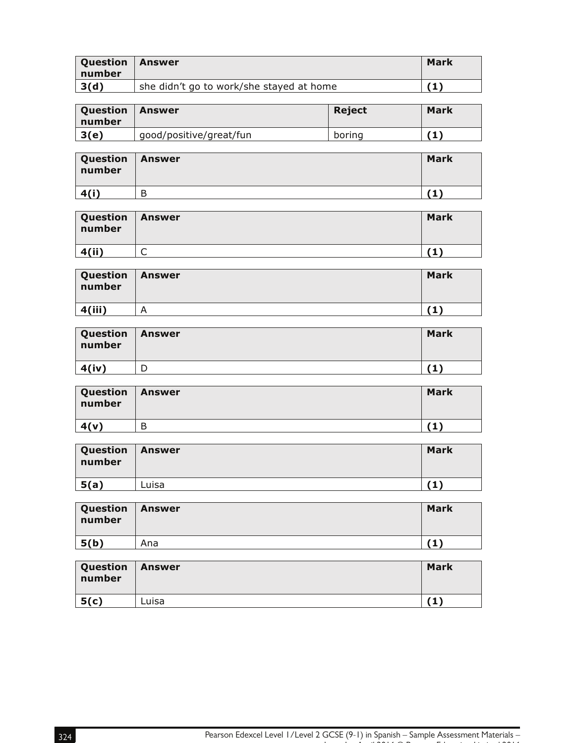| <b>Question</b><br>number | Answer                                   | <b>Mark</b> |
|---------------------------|------------------------------------------|-------------|
| 3(d)                      | she didn't go to work/she stayed at home |             |

| <b>Question</b><br>  number | <b>Answer</b>           | <b>Reject</b> | Mark |
|-----------------------------|-------------------------|---------------|------|
| 3(e)                        | good/positive/great/fun | boring        |      |

| Question   Answer<br>number |   | <b>Mark</b> |
|-----------------------------|---|-------------|
| 4(i)                        | В |             |

| Question   Answer<br>number |   | <b>Mark</b> |
|-----------------------------|---|-------------|
| 4(ii)                       | ๛ |             |

| Question   Answer<br>number |   | <b>Mark</b> |
|-----------------------------|---|-------------|
| 4(iii)                      | А |             |

| Question   Answer<br>number | <b>Mark</b> |
|-----------------------------|-------------|
| 4(iv)                       |             |

| Question   Answer<br>number |   | <b>Mark</b> |
|-----------------------------|---|-------------|
| 4(v)                        | B |             |

| Question<br>number | <b>Answer</b> | <b>Mark</b> |
|--------------------|---------------|-------------|
| 5(a)               | Luisa         |             |

| Question   Answer<br>l number |     | <b>Mark</b> |
|-------------------------------|-----|-------------|
| 5(b)                          | Ana |             |

| Question<br>number | <b>Answer</b> | <b>Mark</b> |
|--------------------|---------------|-------------|
| 5(c)               | Luisa         |             |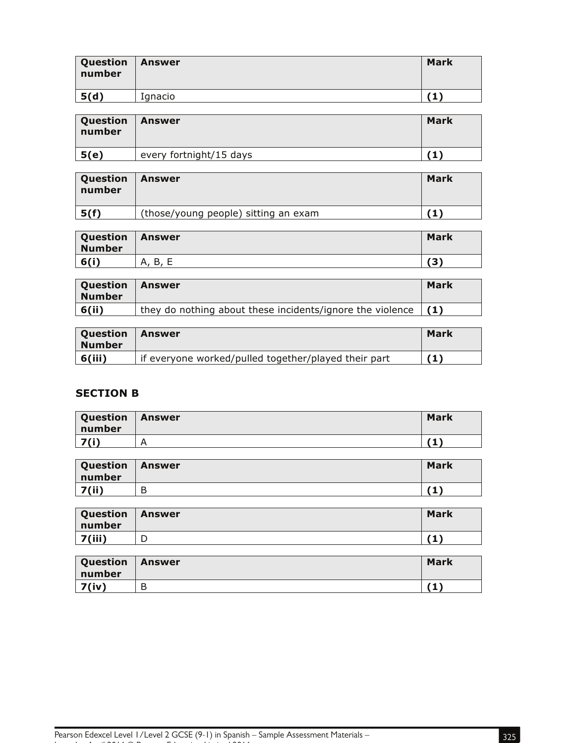| Question<br>number | Answer  | <b>Mark</b> |
|--------------------|---------|-------------|
| 5(d)               | Ignacio |             |

| Question<br>number | Answer                  | Mark |
|--------------------|-------------------------|------|
| 5(e)               | every fortnight/15 days |      |

| <b>Question</b><br>  number | <b>Answer</b>                        | Mark |
|-----------------------------|--------------------------------------|------|
| 5(f)                        | (those/young people) sitting an exam |      |

| Question<br><b>Number</b> | <b>Answer</b> | <b>Mark</b> |
|---------------------------|---------------|-------------|
| 6(i)                      | A, B,<br>-    | ΄3)         |

| <b>Question</b><br>Number | <b>Answer</b>                                                         | <b>Mark</b> |
|---------------------------|-----------------------------------------------------------------------|-------------|
| 6(ii)                     | they do nothing about these incidents/ignore the violence $\vert$ (1) |             |

| <b>Question</b><br>l Number | l Answer                                             | Mark |
|-----------------------------|------------------------------------------------------|------|
| 6(iii)                      | if everyone worked/pulled together/played their part |      |

#### **SECTION B**

| Question<br>number | <b>Answer</b> | <b>Mark</b> |
|--------------------|---------------|-------------|
| 7(i)               | А             |             |

| Question<br>  number | <b>Answer</b> | <b>Mark</b> |
|----------------------|---------------|-------------|
| 7(ii)                | B             |             |

| Question<br>number | Answer | <b>Mark</b> |
|--------------------|--------|-------------|
| 7(iii)             | ┕      | . .<br>л.   |

| Question<br>number | <b>Answer</b> | <b>Mark</b> |
|--------------------|---------------|-------------|
| 7(iv)              | В             |             |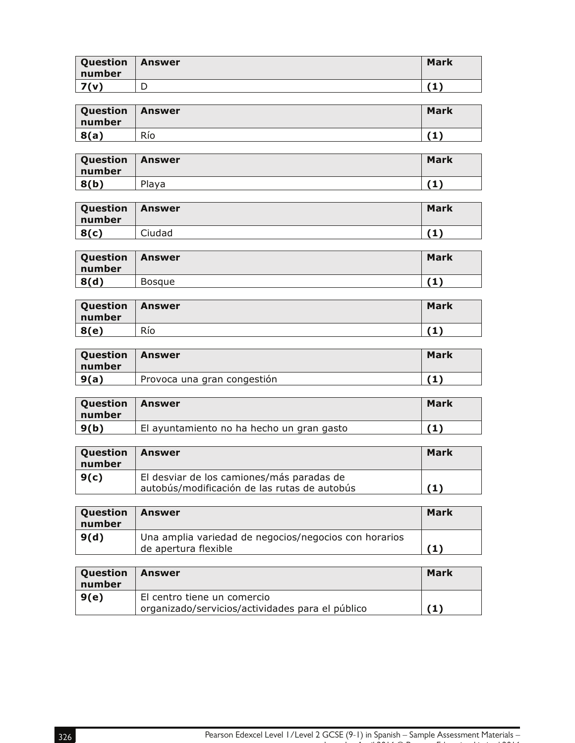| Question<br>number | Answer | <b>Mark</b> |
|--------------------|--------|-------------|
| 7(v)               | ⌒<br>◡ |             |

| Question<br>number | <b>Answer</b> | <b>Mark</b> |
|--------------------|---------------|-------------|
| 8(a)               | Río           | .           |

| <b>Question</b><br>∣ number | <b>Answer</b> | <b>Mark</b> |
|-----------------------------|---------------|-------------|
| 8(b)                        | Playa         | ۰.          |

| <b>Question</b><br>number | <b>Answer</b> | <b>Mark</b> |
|---------------------------|---------------|-------------|
| 8(c)                      | Ciudad        | .           |

| Question<br>number | Answer        | <b>Mark</b> |
|--------------------|---------------|-------------|
| 8(d)               | <b>Bosque</b> |             |

| Question<br>number | <b>Answer</b> | <b>Mark</b> |
|--------------------|---------------|-------------|
| 8(e)               | Río           | .           |

| Question<br>number | l Answer                    | Mark |
|--------------------|-----------------------------|------|
| 9(a)               | Provoca una gran congestión |      |

| <b>Question</b><br>l number | l Answer                                  | Mark |
|-----------------------------|-------------------------------------------|------|
| $\vert 9(b)$                | El ayuntamiento no ha hecho un gran gasto |      |

| <b>Question</b><br>l number | ∣ Answer                                                                                  | <b>Mark</b> |
|-----------------------------|-------------------------------------------------------------------------------------------|-------------|
| 9(c)                        | El desviar de los camiones/más paradas de<br>autobús/modificación de las rutas de autobús |             |

| <b>Question</b><br>number | Answer                                                                        | <b>Mark</b> |
|---------------------------|-------------------------------------------------------------------------------|-------------|
| 9(d)                      | Una amplia variedad de negocios/negocios con horarios<br>de apertura flexible |             |

| <b>Question</b><br>number | l Answer                                                                        | Mark |
|---------------------------|---------------------------------------------------------------------------------|------|
| 9(e)                      | El centro tiene un comercio<br>organizado/servicios/actividades para el público | (1)  |